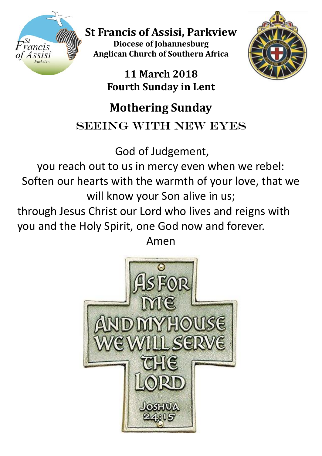

**St Francis of Assisi, Parkview Diocese of Johannesburg Anglican Church of Southern Africa**

> **11 March 2018 Fourth Sunday in Lent**



# **Mothering Sunday**

## SEEING WITH NEW EYES

God of Judgement,

you reach out to us in mercy even when we rebel: Soften our hearts with the warmth of your love, that we will know your Son alive in us;

through Jesus Christ our Lord who lives and reigns with you and the Holy Spirit, one God now and forever.

Amen

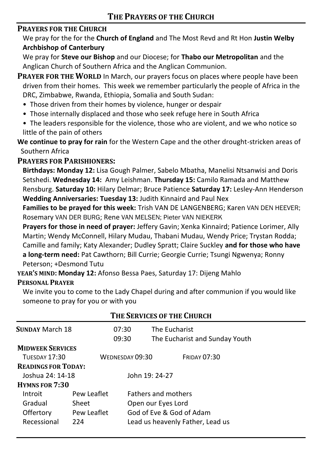### **PRAYERS FOR THE CHURCH**

We pray for the for the **Church of England** and The Most Revd and Rt Hon **Justin Welby Archbishop of Canterbury**

We pray for **Steve our Bishop** and our Diocese; for **Thabo our Metropolitan** and the Anglican Church of Southern Africa and the Anglican Communion.

**PRAYER FOR THE WORLD** In March, our prayers focus on places where people have been driven from their homes. This week we remember particularly the people of Africa in the DRC, Zimbabwe, Rwanda, Ethiopia, Somalia and South Sudan:

- Those driven from their homes by violence, hunger or despair
- Those internally displaced and those who seek refuge here in South Africa
- The leaders responsible for the violence, those who are violent, and we who notice so little of the pain of others

**We continue to pray for rain** for the Western Cape and the other drought-stricken areas of Southern Africa

#### **PRAYERS FOR PARISHIONERS:**

**Birthdays: Monday 12:** Lisa Gough Palmer, Sabelo Mbatha, Manelisi Ntsanwisi and Doris Setshedi. **Wednesday 14:** Amy Leishman. **Thursday 15:** Camilo Ramada and Matthew Rensburg. **Saturday 10:** Hilary Delmar; Bruce Patience **Saturday 17:** Lesley-Ann Henderson **Wedding Anniversaries: Tuesday 13:** Judith Kinnaird and Paul Nex

**Families to be prayed for this week:** Trish VAN DE LANGENBERG; Karen VAN DEN HEEVER; Rosemary VAN DER BURG; Rene VAN MELSEN; Pieter VAN NIEKERK

**Prayers for those in need of prayer:** Jeffery Gavin; Xenka Kinnaird; Patience Lorimer, Ally Martin; Wendy McConnell, Hilary Mudau, Thabani Mudau, Wendy Price; Trystan Rodda; Camille and family; Katy Alexander; Dudley Spratt; Claire Suckley **and for those who have a long-term need:** Pat Cawthorn; Bill Currie; Georgie Currie; Tsungi Ngwenya; Ronny Peterson; +Desmond Tutu

**YEAR'S MIND: Monday 12:** Afonso Bessa Paes, Saturday 17: Dijeng Mahlo **PERSONAL PRAYER**

We invite you to come to the Lady Chapel during and after communion if you would like someone to pray for you or with you

| THE SERVICES OF THE CHURCH |             |                                  |                                                 |  |  |  |  |  |
|----------------------------|-------------|----------------------------------|-------------------------------------------------|--|--|--|--|--|
| <b>SUNDAY March 18</b>     |             | 07:30<br>09:30                   | The Eucharist<br>The Eucharist and Sunday Youth |  |  |  |  |  |
| <b>MIDWEEK SERVICES</b>    |             |                                  |                                                 |  |  |  |  |  |
| <b>TUESDAY 17:30</b>       |             | WEDNESDAY 09:30                  | <b>FRIDAY 07:30</b>                             |  |  |  |  |  |
| <b>READINGS FOR TODAY:</b> |             |                                  |                                                 |  |  |  |  |  |
| Joshua 24: 14-18           |             |                                  | John 19: 24-27                                  |  |  |  |  |  |
| <b>HYMNS FOR 7:30</b>      |             |                                  |                                                 |  |  |  |  |  |
| Introit                    | Pew Leaflet |                                  | <b>Fathers and mothers</b>                      |  |  |  |  |  |
| Gradual                    | Sheet       |                                  | Open our Eyes Lord                              |  |  |  |  |  |
| Offertory                  | Pew Leaflet |                                  | God of Eve & God of Adam                        |  |  |  |  |  |
| Recessional                | 224         | Lead us heavenly Father, Lead us |                                                 |  |  |  |  |  |
|                            |             |                                  |                                                 |  |  |  |  |  |

#### **THE SERVICES OF THE CHURCH**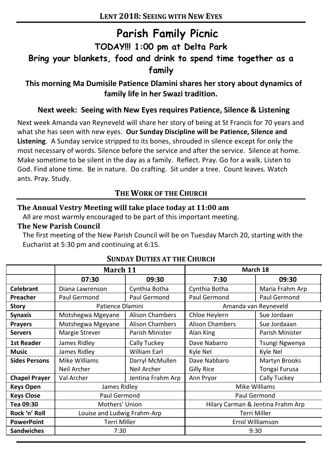## **Parish Family Picnic TODAY!!! 1:00 pm at Delta Park Bring your blankets, food and drink to spend time together as a family**

**This morning Ma Dumisile Patience Dlamini shares her story about dynamics of family life in her Swazi tradition.**

#### **Next week: Seeing with New Eyes requires Patience, Silence & Listening**

Next week Amanda van Reyneveld will share her story of being at St Francis for 70 years and what she has seen with new eyes. **Our Sunday Discipline will be Patience, Silence and Listening**. A Sunday service stripped to its bones, shrouded in silence except for only the most necessary of words. Silence before the service and after the service. Silence at home. Make sometime to be silent in the day as a family. Reflect. Pray. Go for a walk. Listen to God. Find alone time. Be in nature. Do crafting. Sit under a tree. Count leaves. Watch ants. Pray. Study.

### **THE WORK OF THE CHURCH**

#### **The Annual Vestry Meeting will take place today at 11:00 am**

All are most warmly encouraged to be part of this important meeting.

#### **The New Parish Council**

The first meeting of the New Parish Council will be on Tuesday March 20, starting with the Eucharist at 5:30 pm and continuing at 6:15.

|                      | March 11                    |                        | March 18                          |                 |
|----------------------|-----------------------------|------------------------|-----------------------------------|-----------------|
|                      | 07:30                       | 09:30                  | 7:30                              | 09:30           |
| Celebrant            | Diana Lawrenson             | Cynthia Botha          | Cynthia Botha                     | Maria Frahm Arp |
| Preacher             | Paul Germond                | Paul Germond           | Paul Germond                      | Paul Germond    |
| Story                | Patience Dlamini            |                        | Amanda van Reyneveld              |                 |
| <b>Synaxis</b>       | Motshegwa Mgeyane           | <b>Alison Chambers</b> | Chloe Heylern                     | Sue Jordaan     |
| <b>Prayers</b>       | Motshegwa Mgeyane           | <b>Alison Chambers</b> | <b>Alison Chambers</b>            | Sue Jordaaan    |
| <b>Servers</b>       | <b>Margie Strever</b>       | Parish Minister        | Alan King                         | Parish Minister |
| 1st Reader           | James Ridley                | Cally Tuckey           | Dave Nabarro                      | Tsungi Ngwenya  |
| <b>Music</b>         | James Ridley                | <b>William Earl</b>    | Kyle Nel                          | Kyle Nel        |
| <b>Sides Persons</b> | Mike Williams               | Darryl McMullen        | Dave Nabbaro                      | Martyn Brooks   |
|                      | Neil Archer                 | Neil Archer            | Gilly Rice                        | Tongai Furusa   |
| <b>Chapel Prayer</b> | Val Archer                  | Jentina Frahm Arp      | Ann Pryor                         | Cally Tuckey    |
| <b>Keys Open</b>     | James Ridley                |                        | Mike Williams                     |                 |
| <b>Keys Close</b>    | Paul Germond                |                        | Paul Germond                      |                 |
| Tea 09:30            | Mothers' Union              |                        | Hilary Carman & Jentina Frahm Arp |                 |
| Rock 'n' Roll        | Louise and Ludwig Frahm-Arp |                        | Terri Miller                      |                 |
| <b>PowerPoint</b>    | Terri Miller                |                        | Errol Williamson                  |                 |
| Sandwiches           | 7:30                        |                        | 9:30                              |                 |

## **SUNDAY DUTIES AT THE CHURCH**